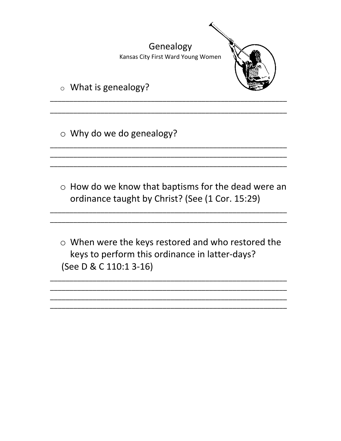

o Why do we do genealogy?

- o How do we know that baptisms for the dead were an ordinance taught by Christ? (See (1 Cor. 15:29)
- o When were the keys restored and who restored the keys to perform this ordinance in latter-days? (See D & C 110:1 3-16)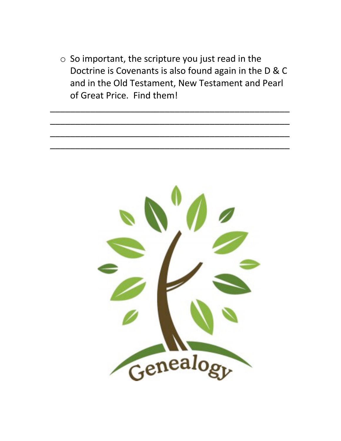$\circ$  So important, the scripture you just read in the Doctrine is Covenants is also found again in the D & C and in the Old Testament, New Testament and Pearl of Great Price. Find them!

\_\_\_\_\_\_\_\_\_\_\_\_\_\_\_\_\_\_\_\_\_\_\_\_\_\_\_\_\_\_\_\_\_\_\_\_\_\_\_\_\_\_\_\_\_\_\_\_

\_\_\_\_\_\_\_\_\_\_\_\_\_\_\_\_\_\_\_\_\_\_\_\_\_\_\_\_\_\_\_\_\_\_\_\_\_\_\_\_\_\_\_\_\_\_\_\_